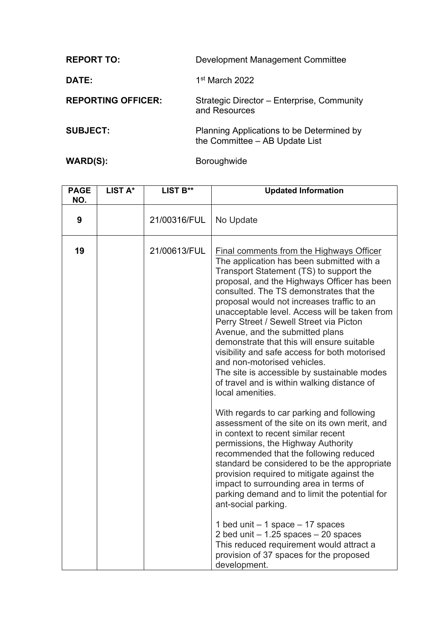| <b>REPORT TO:</b>         | Development Management Committee                                            |
|---------------------------|-----------------------------------------------------------------------------|
| DATE:                     | 1 <sup>st</sup> March 2022                                                  |
| <b>REPORTING OFFICER:</b> | Strategic Director – Enterprise, Community<br>and Resources                 |
| <b>SUBJECT:</b>           | Planning Applications to be Determined by<br>the Committee - AB Update List |

WARD(S): Boroughwide

**PAGE NO. LIST A\* LIST B\*\* Updated Information 9** | 21/00316/FUL No Update **19** 21/00613/FUL Final comments from the Highways Officer The application has been submitted with a Transport Statement (TS) to support the proposal, and the Highways Officer has been consulted. The TS demonstrates that the proposal would not increases traffic to an unacceptable level. Access will be taken from Perry Street / Sewell Street via Picton Avenue, and the submitted plans demonstrate that this will ensure suitable visibility and safe access for both motorised and non-motorised vehicles. The site is accessible by sustainable modes of travel and is within walking distance of local amenities. With regards to car parking and following assessment of the site on its own merit, and in context to recent similar recent permissions, the Highway Authority recommended that the following reduced standard be considered to be the appropriate provision required to mitigate against the impact to surrounding area in terms of parking demand and to limit the potential for ant-social parking. 1 bed unit – 1 space – 17 spaces 2 bed unit  $-1.25$  spaces  $-20$  spaces This reduced requirement would attract a provision of 37 spaces for the proposed development.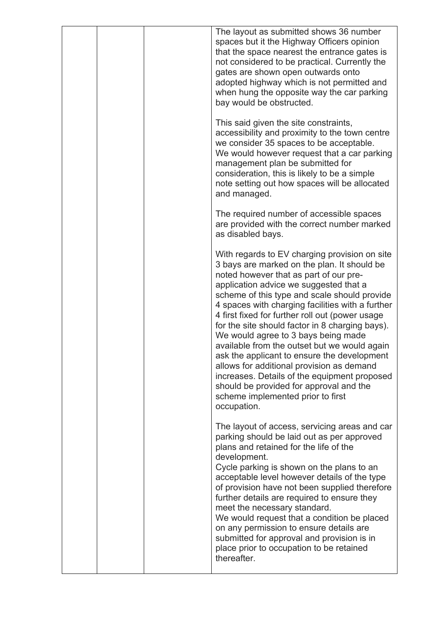|  | The layout as submitted shows 36 number<br>spaces but it the Highway Officers opinion<br>that the space nearest the entrance gates is<br>not considered to be practical. Currently the<br>gates are shown open outwards onto<br>adopted highway which is not permitted and<br>when hung the opposite way the car parking<br>bay would be obstructed.                                                                                                                                                                                                                                                                                                                                                                         |
|--|------------------------------------------------------------------------------------------------------------------------------------------------------------------------------------------------------------------------------------------------------------------------------------------------------------------------------------------------------------------------------------------------------------------------------------------------------------------------------------------------------------------------------------------------------------------------------------------------------------------------------------------------------------------------------------------------------------------------------|
|  | This said given the site constraints,<br>accessibility and proximity to the town centre<br>we consider 35 spaces to be acceptable.<br>We would however request that a car parking<br>management plan be submitted for<br>consideration, this is likely to be a simple<br>note setting out how spaces will be allocated<br>and managed.                                                                                                                                                                                                                                                                                                                                                                                       |
|  | The required number of accessible spaces<br>are provided with the correct number marked<br>as disabled bays.                                                                                                                                                                                                                                                                                                                                                                                                                                                                                                                                                                                                                 |
|  | With regards to EV charging provision on site<br>3 bays are marked on the plan. It should be<br>noted however that as part of our pre-<br>application advice we suggested that a<br>scheme of this type and scale should provide<br>4 spaces with charging facilities with a further<br>4 first fixed for further roll out (power usage<br>for the site should factor in 8 charging bays).<br>We would agree to 3 bays being made<br>available from the outset but we would again<br>ask the applicant to ensure the development<br>allows for additional provision as demand<br>increases. Details of the equipment proposed<br>should be provided for approval and the<br>scheme implemented prior to first<br>occupation. |
|  | The layout of access, servicing areas and car<br>parking should be laid out as per approved<br>plans and retained for the life of the<br>development.<br>Cycle parking is shown on the plans to an<br>acceptable level however details of the type<br>of provision have not been supplied therefore<br>further details are required to ensure they<br>meet the necessary standard.<br>We would request that a condition be placed<br>on any permission to ensure details are<br>submitted for approval and provision is in<br>place prior to occupation to be retained<br>thereafter.                                                                                                                                        |
|  |                                                                                                                                                                                                                                                                                                                                                                                                                                                                                                                                                                                                                                                                                                                              |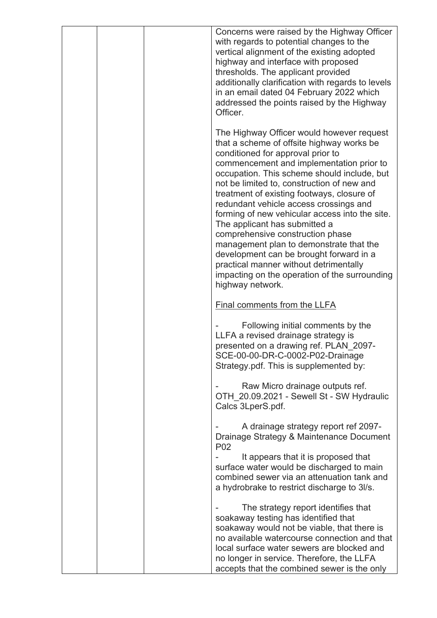| Concerns were raised by the Highway Officer<br>with regards to potential changes to the<br>vertical alignment of the existing adopted<br>highway and interface with proposed<br>thresholds. The applicant provided<br>additionally clarification with regards to levels<br>in an email dated 04 February 2022 which<br>addressed the points raised by the Highway<br>Officer.                                                                                                                                                                                                                                                                                                            |
|------------------------------------------------------------------------------------------------------------------------------------------------------------------------------------------------------------------------------------------------------------------------------------------------------------------------------------------------------------------------------------------------------------------------------------------------------------------------------------------------------------------------------------------------------------------------------------------------------------------------------------------------------------------------------------------|
| The Highway Officer would however request<br>that a scheme of offsite highway works be<br>conditioned for approval prior to<br>commencement and implementation prior to<br>occupation. This scheme should include, but<br>not be limited to, construction of new and<br>treatment of existing footways, closure of<br>redundant vehicle access crossings and<br>forming of new vehicular access into the site.<br>The applicant has submitted a<br>comprehensive construction phase<br>management plan to demonstrate that the<br>development can be brought forward in a<br>practical manner without detrimentally<br>impacting on the operation of the surrounding<br>highway network. |
| Final comments from the LLFA                                                                                                                                                                                                                                                                                                                                                                                                                                                                                                                                                                                                                                                             |
| Following initial comments by the<br>LLFA a revised drainage strategy is<br>presented on a drawing ref. PLAN_2097-<br>SCE-00-00-DR-C-0002-P02-Drainage<br>Strategy.pdf. This is supplemented by:                                                                                                                                                                                                                                                                                                                                                                                                                                                                                         |
| Raw Micro drainage outputs ref.<br>OTH 20.09.2021 - Sewell St - SW Hydraulic<br>Calcs 3LperS.pdf.                                                                                                                                                                                                                                                                                                                                                                                                                                                                                                                                                                                        |
| A drainage strategy report ref 2097-<br>Drainage Strategy & Maintenance Document<br>P <sub>0</sub> 2                                                                                                                                                                                                                                                                                                                                                                                                                                                                                                                                                                                     |
| It appears that it is proposed that<br>surface water would be discharged to main<br>combined sewer via an attenuation tank and<br>a hydrobrake to restrict discharge to 3l/s.                                                                                                                                                                                                                                                                                                                                                                                                                                                                                                            |
| The strategy report identifies that<br>soakaway testing has identified that<br>soakaway would not be viable, that there is<br>no available watercourse connection and that<br>local surface water sewers are blocked and<br>no longer in service. Therefore, the LLFA<br>accepts that the combined sewer is the only                                                                                                                                                                                                                                                                                                                                                                     |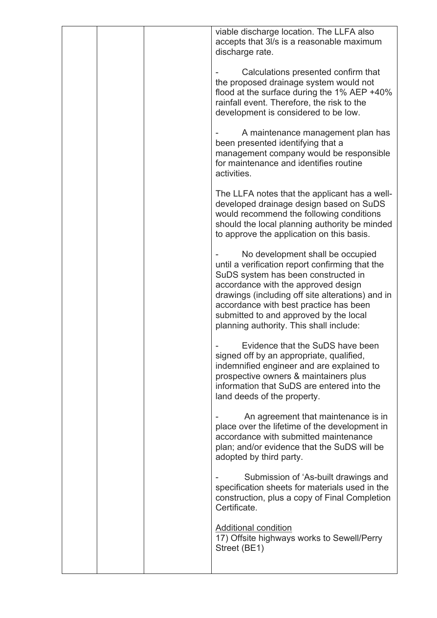|  |  | viable discharge location. The LLFA also<br>accepts that 3l/s is a reasonable maximum<br>discharge rate.                                                                                                                                                                                                                                             |
|--|--|------------------------------------------------------------------------------------------------------------------------------------------------------------------------------------------------------------------------------------------------------------------------------------------------------------------------------------------------------|
|  |  | Calculations presented confirm that<br>the proposed drainage system would not<br>flood at the surface during the $1\%$ AEP +40%<br>rainfall event. Therefore, the risk to the<br>development is considered to be low.                                                                                                                                |
|  |  | A maintenance management plan has<br>been presented identifying that a<br>management company would be responsible<br>for maintenance and identifies routine<br>activities.                                                                                                                                                                           |
|  |  | The LLFA notes that the applicant has a well-<br>developed drainage design based on SuDS<br>would recommend the following conditions<br>should the local planning authority be minded<br>to approve the application on this basis.                                                                                                                   |
|  |  | No development shall be occupied<br>until a verification report confirming that the<br>SuDS system has been constructed in<br>accordance with the approved design<br>drawings (including off site alterations) and in<br>accordance with best practice has been<br>submitted to and approved by the local<br>planning authority. This shall include: |
|  |  | Evidence that the SuDS have been<br>signed off by an appropriate, qualified,<br>indemnified engineer and are explained to<br>prospective owners & maintainers plus<br>information that SuDS are entered into the<br>land deeds of the property.                                                                                                      |
|  |  | An agreement that maintenance is in<br>place over the lifetime of the development in<br>accordance with submitted maintenance<br>plan; and/or evidence that the SuDS will be<br>adopted by third party.                                                                                                                                              |
|  |  | Submission of 'As-built drawings and<br>specification sheets for materials used in the<br>construction, plus a copy of Final Completion<br>Certificate.                                                                                                                                                                                              |
|  |  | <b>Additional condition</b><br>17) Offsite highways works to Sewell/Perry<br>Street (BE1)                                                                                                                                                                                                                                                            |
|  |  |                                                                                                                                                                                                                                                                                                                                                      |